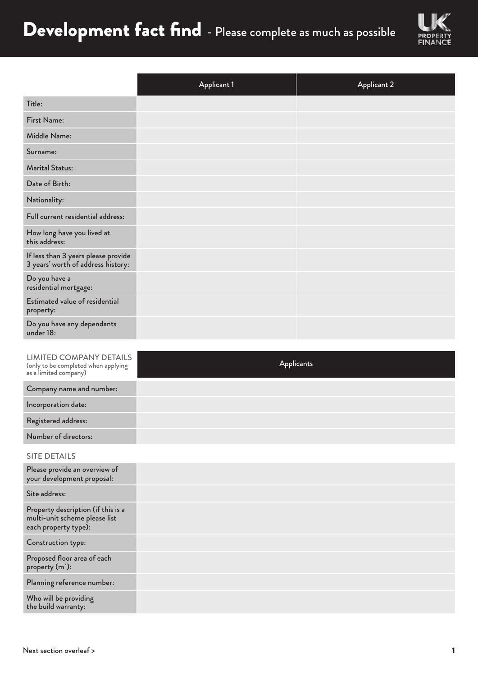## Development fact find - Please complete as much as possible



|                                                                           | <b>Applicant 1</b> | <b>Applicant 2</b> |
|---------------------------------------------------------------------------|--------------------|--------------------|
| Title:                                                                    |                    |                    |
| First Name:                                                               |                    |                    |
| Middle Name:                                                              |                    |                    |
| Surname:                                                                  |                    |                    |
| <b>Marital Status:</b>                                                    |                    |                    |
| Date of Birth:                                                            |                    |                    |
| Nationality:                                                              |                    |                    |
| Full current residential address:                                         |                    |                    |
| How long have you lived at<br>this address:                               |                    |                    |
| If less than 3 years please provide<br>3 years' worth of address history: |                    |                    |
| Do you have a<br>residential mortgage:                                    |                    |                    |
| <b>Estimated value of residential</b><br>property:                        |                    |                    |
| Do you have any dependants<br>under 18:                                   |                    |                    |

| <b>LIMITED COMPANY DETAILS</b><br>(only to be completed when applying<br>as a limited company) | <b>Applicants</b> |
|------------------------------------------------------------------------------------------------|-------------------|
| Company name and number:                                                                       |                   |
| Incorporation date:                                                                            |                   |
| Registered address:                                                                            |                   |
| Number of directors:                                                                           |                   |
| <b>SITE DETAILS</b>                                                                            |                   |
| Please provide an overview of<br>your development proposal:                                    |                   |
| Site address:                                                                                  |                   |
| Property description (if this is a<br>multi-unit scheme please list<br>each property type):    |                   |
| Construction type:                                                                             |                   |
| Proposed floor area of each<br>property (m <sup>2</sup> ):                                     |                   |
| Planning reference number:                                                                     |                   |

Who will be providing the build warranty: